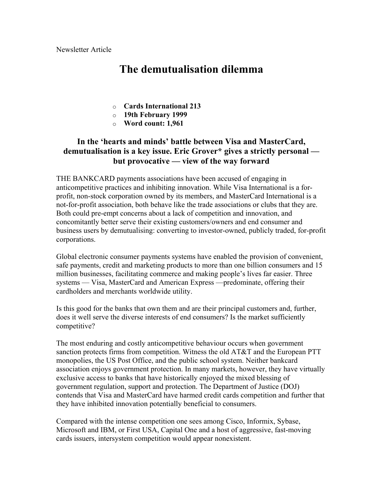Newsletter Article

## **The demutualisation dilemma**

- o **Cards International 213**
- o **19th February 1999**
- o **Word count: 1,961**

## **In the 'hearts and minds' battle between Visa and MasterCard, demutualisation is a key issue. Eric Grover\* gives a strictly personal but provocative — view of the way forward**

THE BANKCARD payments associations have been accused of engaging in anticompetitive practices and inhibiting innovation. While Visa International is a forprofit, non-stock corporation owned by its members, and MasterCard International is a not-for-profit association, both behave like the trade associations or clubs that they are. Both could pre-empt concerns about a lack of competition and innovation, and concomitantly better serve their existing customers/owners and end consumer and business users by demutualising: converting to investor-owned, publicly traded, for-profit corporations.

Global electronic consumer payments systems have enabled the provision of convenient, safe payments, credit and marketing products to more than one billion consumers and 15 million businesses, facilitating commerce and making people's lives far easier. Three systems — Visa, MasterCard and American Express —predominate, offering their cardholders and merchants worldwide utility.

Is this good for the banks that own them and are their principal customers and, further, does it well serve the diverse interests of end consumers? Is the market sufficiently competitive?

The most enduring and costly anticompetitive behaviour occurs when government sanction protects firms from competition. Witness the old AT&T and the European PTT monopolies, the US Post Office, and the public school system. Neither bankcard association enjoys government protection. In many markets, however, they have virtually exclusive access to banks that have historically enjoyed the mixed blessing of government regulation, support and protection. The Department of Justice (DOJ) contends that Visa and MasterCard have harmed credit cards competition and further that they have inhibited innovation potentially beneficial to consumers.

Compared with the intense competition one sees among Cisco, Informix, Sybase, Microsoft and IBM, or First USA, Capital One and a host of aggressive, fast-moving cards issuers, intersystem competition would appear nonexistent.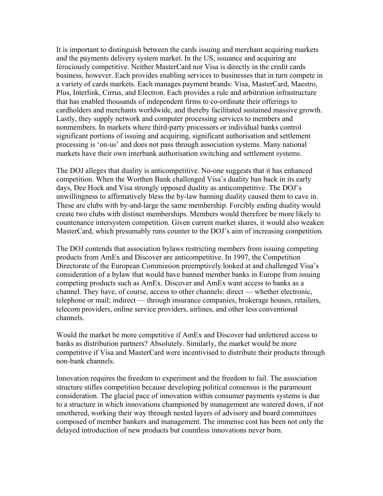It is important to distinguish between the cards issuing and merchant acquiring markets and the payments delivery system market. In the US, issuance and acquiring are ferociously competitive. Neither MasterCard nor Visa is directly in the credit cards business, however. Each provides enabling services to businesses that in turn compete in a variety of cards markets. Each manages payment brands: Visa, MasterCard, Maestro, Plus, Interlink, Cirrus, and Electron. Each provides a rule and arbitration infrastructure that has enabled thousands of independent firms to co-ordinate their offerings to cardholders and merchants worldwide, and thereby facilitated sustained massive growth. Lastly, they supply network and computer processing services to members and nonmembers. In markets where third-party processors or individual banks control significant portions of issuing and acquiring, significant authorisation and settlement processing is 'on-us' and does not pass through association systems. Many national markets have their own interbank authorisation switching and settlement systems.

The DOJ alleges that duality is anticompetitive. No-one suggests that it has enhanced competition. When the Worthen Bank challenged Visa's duality ban back in its early days, Dee Hock and Visa strongly opposed duality as anticompetitive. The DOJ's unwillingness to affirmatively bless the by-law banning duality caused them to cave in. These are clubs with by-and-large the same membership. Forcibly ending duality would create two clubs with distinct memberships. Members would therefore be more likely to countenance intersystem competition. Given current market shares, it would also weaken MasterCard, which presumably runs counter to the DOJ's aim of increasing competition.

The DOJ contends that association bylaws restricting members from issuing competing products from AmEx and Discover are anticompetitive. In 1997, the Competition Directorate of the European Commission preemptively looked at and challenged Visa's consideration of a bylaw that would have banned member banks in Europe from issuing competing products such as AmEx. Discover and AmEx want access to banks as a channel. They have, of course, access to other channels: direct — whether electronic, telephone or mail; indirect — through insurance companies, brokerage houses, retailers, telecom providers, online service providers, airlines, and other less conventional channels.

Would the market be more competitive if AmEx and Discover had unfettered access to banks as distribution partners? Absolutely. Similarly, the market would be more competitive if Visa and MasterCard were incentivised to distribute their products through non-bank channels.

Innovation requires the freedom to experiment and the freedom to fail. The association structure stifles competition because developing political consensus is the paramount consideration. The glacial pace of innovation within consumer payments systems is due to a structure in which innovations championed by management are watered down, if not smothered, working their way through nested layers of advisory and board committees composed of member bankers and management. The immense cost has been not only the delayed introduction of new products but countless innovations never born.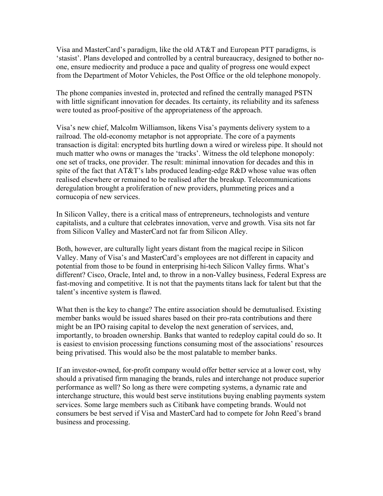Visa and MasterCard's paradigm, like the old AT&T and European PTT paradigms, is 'stasist'. Plans developed and controlled by a central bureaucracy, designed to bother noone, ensure mediocrity and produce a pace and quality of progress one would expect from the Department of Motor Vehicles, the Post Office or the old telephone monopoly.

The phone companies invested in, protected and refined the centrally managed PSTN with little significant innovation for decades. Its certainty, its reliability and its safeness were touted as proof-positive of the appropriateness of the approach.

Visa's new chief, Malcolm Williamson, likens Visa's payments delivery system to a railroad. The old-economy metaphor is not appropriate. The core of a payments transaction is digital: encrypted bits hurtling down a wired or wireless pipe. It should not much matter who owns or manages the 'tracks'. Witness the old telephone monopoly: one set of tracks, one provider. The result: minimal innovation for decades and this in spite of the fact that  $AT&T$ 's labs produced leading-edge R&D whose value was often realised elsewhere or remained to be realised after the breakup. Telecommunications deregulation brought a proliferation of new providers, plummeting prices and a cornucopia of new services.

In Silicon Valley, there is a critical mass of entrepreneurs, technologists and venture capitalists, and a culture that celebrates innovation, verve and growth. Visa sits not far from Silicon Valley and MasterCard not far from Silicon Alley.

Both, however, are culturally light years distant from the magical recipe in Silicon Valley. Many of Visa's and MasterCard's employees are not different in capacity and potential from those to be found in enterprising hi-tech Silicon Valley firms. What's different? Cisco, Oracle, Intel and, to throw in a non-Valley business, Federal Express are fast-moving and competitive. It is not that the payments titans lack for talent but that the talent's incentive system is flawed.

What then is the key to change? The entire association should be demutualised. Existing member banks would be issued shares based on their pro-rata contributions and there might be an IPO raising capital to develop the next generation of services, and, importantly, to broaden ownership. Banks that wanted to redeploy capital could do so. It is easiest to envision processing functions consuming most of the associations' resources being privatised. This would also be the most palatable to member banks.

If an investor-owned, for-profit company would offer better service at a lower cost, why should a privatised firm managing the brands, rules and interchange not produce superior performance as well? So long as there were competing systems, a dynamic rate and interchange structure, this would best serve institutions buying enabling payments system services. Some large members such as Citibank have competing brands. Would not consumers be best served if Visa and MasterCard had to compete for John Reed's brand business and processing.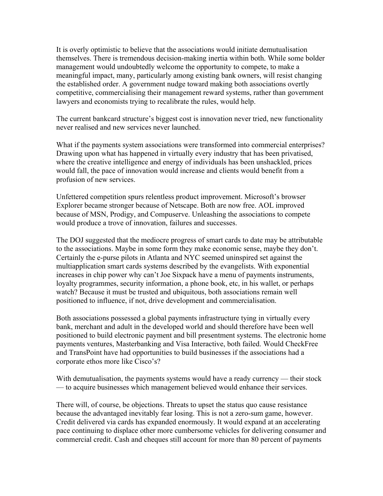It is overly optimistic to believe that the associations would initiate demutualisation themselves. There is tremendous decision-making inertia within both. While some bolder management would undoubtedly welcome the opportunity to compete, to make a meaningful impact, many, particularly among existing bank owners, will resist changing the established order. A government nudge toward making both associations overtly competitive, commercialising their management reward systems, rather than government lawyers and economists trying to recalibrate the rules, would help.

The current bankcard structure's biggest cost is innovation never tried, new functionality never realised and new services never launched.

What if the payments system associations were transformed into commercial enterprises? Drawing upon what has happened in virtually every industry that has been privatised, where the creative intelligence and energy of individuals has been unshackled, prices would fall, the pace of innovation would increase and clients would benefit from a profusion of new services.

Unfettered competition spurs relentless product improvement. Microsoft's browser Explorer became stronger because of Netscape. Both are now free. AOL improved because of MSN, Prodigy, and Compuserve. Unleashing the associations to compete would produce a trove of innovation, failures and successes.

The DOJ suggested that the mediocre progress of smart cards to date may be attributable to the associations. Maybe in some form they make economic sense, maybe they don't. Certainly the e-purse pilots in Atlanta and NYC seemed uninspired set against the multiapplication smart cards systems described by the evangelists. With exponential increases in chip power why can't Joe Sixpack have a menu of payments instruments, loyalty programmes, security information, a phone book, etc, in his wallet, or perhaps watch? Because it must be trusted and ubiquitous, both associations remain well positioned to influence, if not, drive development and commercialisation.

Both associations possessed a global payments infrastructure tying in virtually every bank, merchant and adult in the developed world and should therefore have been well positioned to build electronic payment and bill presentment systems. The electronic home payments ventures, Masterbanking and Visa Interactive, both failed. Would CheckFree and TransPoint have had opportunities to build businesses if the associations had a corporate ethos more like Cisco's?

With demutualisation, the payments systems would have a ready currency — their stock — to acquire businesses which management believed would enhance their services.

There will, of course, be objections. Threats to upset the status quo cause resistance because the advantaged inevitably fear losing. This is not a zero-sum game, however. Credit delivered via cards has expanded enormously. It would expand at an accelerating pace continuing to displace other more cumbersome vehicles for delivering consumer and commercial credit. Cash and cheques still account for more than 80 percent of payments